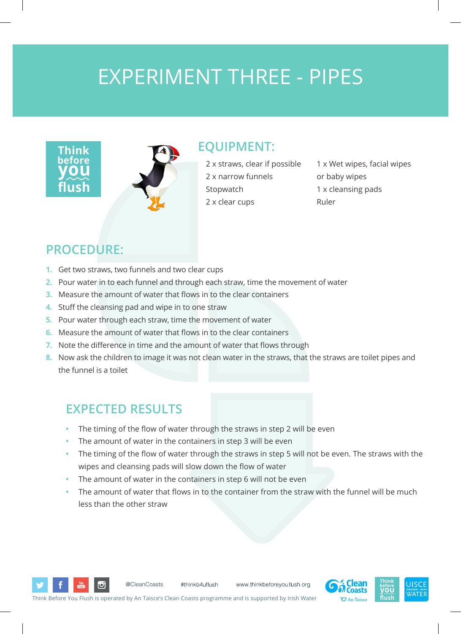## EXPERIMENT THREE - PIPES





#### **EQUIPMENT:**

2 x straws, clear if possible 2 x narrow funnels Stopwatch 2 x clear cups

1 x Wet wipes, facial wipes or baby wipes 1 x cleansing pads Ruler

### **PROCEDURE:**

- **1.** Get two straws, two funnels and two clear cups
- **2.** Pour water in to each funnel and through each straw, time the movement of water
- **3.** Measure the amount of water that flows in to the clear containers
- **4.** Stuff the cleansing pad and wipe in to one straw
- **5.** Pour water through each straw, time the movement of water
- **6.** Measure the amount of water that flows in to the clear containers
- **7.** Note the difference in time and the amount of water that flows through
- **8.** Now ask the children to image it was not clean water in the straws, that the straws are toilet pipes and the funnel is a toilet

### **EXPECTED RESULTS**

- The timing of the flow of water through the straws in step 2 will be even
- The amount of water in the containers in step 3 will be even
- The timing of the flow of water through the straws in step 5 will not be even. The straws with the wipes and cleansing pads will slow down the flow of water
- The amount of water in the containers in step 6 will not be even
- The amount of water that flows in to the container from the straw with the funnel will be much less than the other straw

www.thinkbeforeyou flush.org

Think Before You Flush is operated by An Taisce's Clean Coasts programme and is supported by Irish Water

#thinkb4uflush

@CleanCoasts

ان